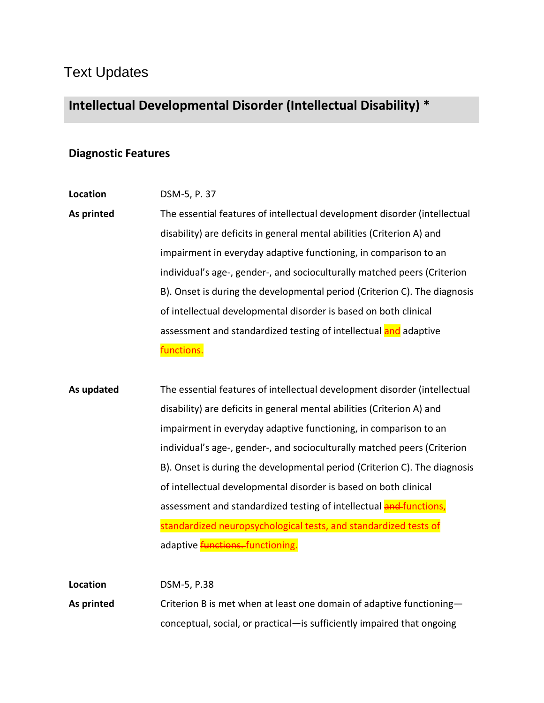## Text Updates

## **Intellectual Developmental Disorder (Intellectual Disability) \***

## **Diagnostic Features**

## **Location** DSM-5, P. 37

**As printed** The essential features of intellectual development disorder (intellectual disability) are deficits in general mental abilities (Criterion A) and impairment in everyday adaptive functioning, in comparison to an individual's age-, gender-, and socioculturally matched peers (Criterion B). Onset is during the developmental period (Criterion C). The diagnosis of intellectual developmental disorder is based on both clinical assessment and standardized testing of intellectual and adaptive functions.

**As updated** The essential features of intellectual development disorder (intellectual disability) are deficits in general mental abilities (Criterion A) and impairment in everyday adaptive functioning, in comparison to an individual's age-, gender-, and socioculturally matched peers (Criterion B). Onset is during the developmental period (Criterion C). The diagnosis of intellectual developmental disorder is based on both clinical assessment and standardized testing of intellectual **and functions**, standardized neuropsychological tests, and standardized tests of adaptive **functions**. functioning.

| Location   | DSM-5, P.38                                                            |
|------------|------------------------------------------------------------------------|
| As printed | Criterion B is met when at least one domain of adaptive functioning-   |
|            | conceptual, social, or practical—is sufficiently impaired that ongoing |